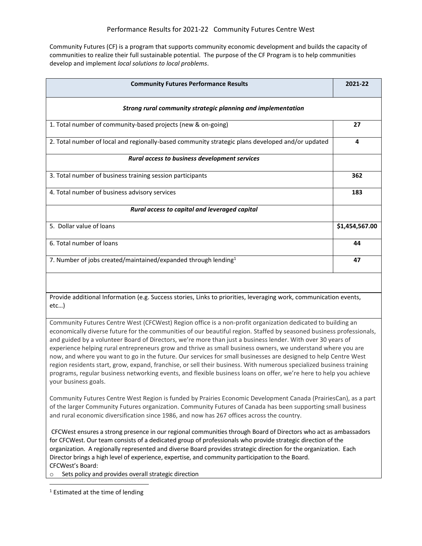Community Futures (CF) is a program that supports community economic development and builds the capacity of communities to realize their full sustainable potential. The purpose of the CF Program is to help communities develop and implement *local solutions to local problems*.

| <b>Community Futures Performance Results</b>                                                                                                                                                                                                                                                                                                                                                                                                                                                                                                                                                                                                                                                                                                                                                                                                                | 2021-22        |
|-------------------------------------------------------------------------------------------------------------------------------------------------------------------------------------------------------------------------------------------------------------------------------------------------------------------------------------------------------------------------------------------------------------------------------------------------------------------------------------------------------------------------------------------------------------------------------------------------------------------------------------------------------------------------------------------------------------------------------------------------------------------------------------------------------------------------------------------------------------|----------------|
| Strong rural community strategic planning and implementation                                                                                                                                                                                                                                                                                                                                                                                                                                                                                                                                                                                                                                                                                                                                                                                                |                |
| 1. Total number of community-based projects (new & on-going)                                                                                                                                                                                                                                                                                                                                                                                                                                                                                                                                                                                                                                                                                                                                                                                                | 27             |
| 2. Total number of local and regionally-based community strategic plans developed and/or updated                                                                                                                                                                                                                                                                                                                                                                                                                                                                                                                                                                                                                                                                                                                                                            | 4              |
| Rural access to business development services                                                                                                                                                                                                                                                                                                                                                                                                                                                                                                                                                                                                                                                                                                                                                                                                               |                |
| 3. Total number of business training session participants                                                                                                                                                                                                                                                                                                                                                                                                                                                                                                                                                                                                                                                                                                                                                                                                   | 362            |
| 4. Total number of business advisory services                                                                                                                                                                                                                                                                                                                                                                                                                                                                                                                                                                                                                                                                                                                                                                                                               | 183            |
| Rural access to capital and leveraged capital                                                                                                                                                                                                                                                                                                                                                                                                                                                                                                                                                                                                                                                                                                                                                                                                               |                |
| 5. Dollar value of loans                                                                                                                                                                                                                                                                                                                                                                                                                                                                                                                                                                                                                                                                                                                                                                                                                                    | \$1,454,567.00 |
| 6. Total number of loans                                                                                                                                                                                                                                                                                                                                                                                                                                                                                                                                                                                                                                                                                                                                                                                                                                    | 44             |
| 7. Number of jobs created/maintained/expanded through lending <sup>1</sup>                                                                                                                                                                                                                                                                                                                                                                                                                                                                                                                                                                                                                                                                                                                                                                                  | 47             |
|                                                                                                                                                                                                                                                                                                                                                                                                                                                                                                                                                                                                                                                                                                                                                                                                                                                             |                |
| Provide additional Information (e.g. Success stories, Links to priorities, leveraging work, communication events,<br>etc                                                                                                                                                                                                                                                                                                                                                                                                                                                                                                                                                                                                                                                                                                                                    |                |
| Community Futures Centre West (CFCWest) Region office is a non-profit organization dedicated to building an<br>economically diverse future for the communities of our beautiful region. Staffed by seasoned business professionals,<br>and guided by a volunteer Board of Directors, we're more than just a business lender. With over 30 years of<br>experience helping rural entrepreneurs grow and thrive as small business owners, we understand where you are<br>now, and where you want to go in the future. Our services for small businesses are designed to help Centre West<br>region residents start, grow, expand, franchise, or sell their business. With numerous specialized business training<br>programs, regular business networking events, and flexible business loans on offer, we're here to help you achieve<br>your business goals. |                |
| Community Futures Centre West Region is funded by Prairies Economic Development Canada (PrairiesCan), as a part<br>of the larger Community Futures organization. Community Futures of Canada has been supporting small business<br>and rural economic diversification since 1986, and now has 267 offices across the country.                                                                                                                                                                                                                                                                                                                                                                                                                                                                                                                               |                |
| CFCWest ensures a strong presence in our regional communities through Board of Directors who act as ambassadors<br>for CFCWest. Our team consists of a dedicated group of professionals who provide strategic direction of the<br>organization. A regionally represented and diverse Board provides strategic direction for the organization. Each<br>Director brings a high level of experience, expertise, and community participation to the Board.<br>CFCWest's Board:                                                                                                                                                                                                                                                                                                                                                                                  |                |

o Sets policy and provides overall strategic direction

<sup>1</sup> Estimated at the time of lending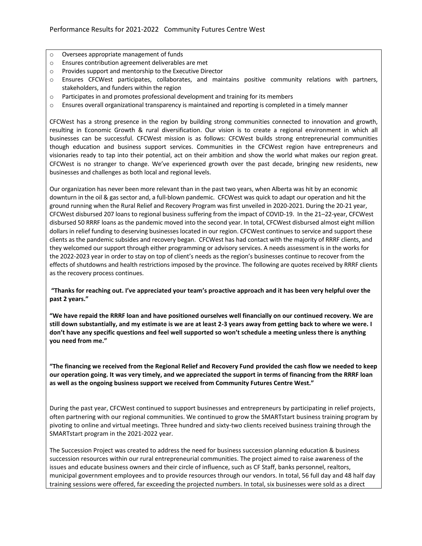- o Oversees appropriate management of funds
- o Ensures contribution agreement deliverables are met
- o Provides support and mentorship to the Executive Director
- o Ensures CFCWest participates, collaborates, and maintains positive community relations with partners, stakeholders, and funders within the region
- $\circ$  Participates in and promotes professional development and training for its members
- o Ensures overall organizational transparency is maintained and reporting is completed in a timely manner

CFCWest has a strong presence in the region by building strong communities connected to innovation and growth, resulting in Economic Growth & rural diversification. Our vision is to create a regional environment in which all businesses can be successful. CFCWest mission is as follows: CFCWest builds strong entrepreneurial communities though education and business support services. Communities in the CFCWest region have entrepreneurs and visionaries ready to tap into their potential, act on their ambition and show the world what makes our region great. CFCWest is no stranger to change. We've experienced growth over the past decade, bringing new residents, new businesses and challenges as both local and regional levels.

Our organization has never been more relevant than in the past two years, when Alberta was hit by an economic downturn in the oil & gas sector and, a full-blown pandemic. CFCWest was quick to adapt our operation and hit the ground running when the Rural Relief and Recovery Program was first unveiled in 2020-2021. During the 20-21 year, CFCWest disbursed 207 loans to regional business suffering from the impact of COVID-19. In the 21–22-year, CFCWest disbursed 50 RRRF loans as the pandemic moved into the second year. In total, CFCWest disbursed almost eight million dollars in relief funding to deserving businesses located in our region. CFCWest continues to service and support these clients as the pandemic subsides and recovery began. CFCWest has had contact with the majority of RRRF clients, and they welcomed our support through either programming or advisory services. A needs assessment is in the works for the 2022-2023 year in order to stay on top of client's needs as the region's businesses continue to recover from the effects of shutdowns and health restrictions imposed by the province. The following are quotes received by RRRF clients as the recovery process continues.

**"Thanks for reaching out. I've appreciated your team's proactive approach and it has been very helpful over the past 2 years."**

**"We have repaid the RRRF loan and have positioned ourselves well financially on our continued recovery. We are still down substantially, and my estimate is we are at least 2-3 years away from getting back to where we were. I don't have any specific questions and feel well supported so won't schedule a meeting unless there is anything you need from me."**

**"The financing we received from the Regional Relief and Recovery Fund provided the cash flow we needed to keep our operation going. It was very timely, and we appreciated the support in terms of financing from the RRRF loan as well as the ongoing business support we received from Community Futures Centre West."**

During the past year, CFCWest continued to support businesses and entrepreneurs by participating in relief projects, often partnering with our regional communities. We continued to grow the SMARTstart business training program by pivoting to online and virtual meetings. Three hundred and sixty-two clients received business training through the SMARTstart program in the 2021-2022 year.

The Succession Project was created to address the need for business succession planning education & business succession resources within our rural entrepreneurial communities. The project aimed to raise awareness of the issues and educate business owners and their circle of influence, such as CF Staff, banks personnel, realtors, municipal government employees and to provide resources through our vendors. In total, 56 full day and 48 half day training sessions were offered, far exceeding the projected numbers. In total, six businesses were sold as a direct